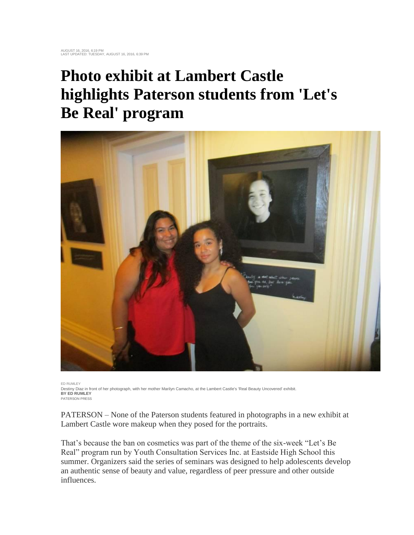## **Photo exhibit at Lambert Castle highlights Paterson students from 'Let's Be Real' program**



ED RUMLEY Destiny Diaz in front of her photograph, with her mother Marilyn Camacho, at the Lambert Castle's 'Real Beauty Uncovered' exhibit. **BY ED RUMLEY** PATERSON PRESS

PATERSON – None of the Paterson students featured in photographs in a new exhibit at Lambert Castle wore makeup when they posed for the portraits.

That's because the ban on cosmetics was part of the theme of the six-week "Let's Be Real" program run by Youth Consultation Services Inc. at Eastside High School this summer. Organizers said the series of seminars was designed to help adolescents develop an authentic sense of beauty and value, regardless of peer pressure and other outside influences.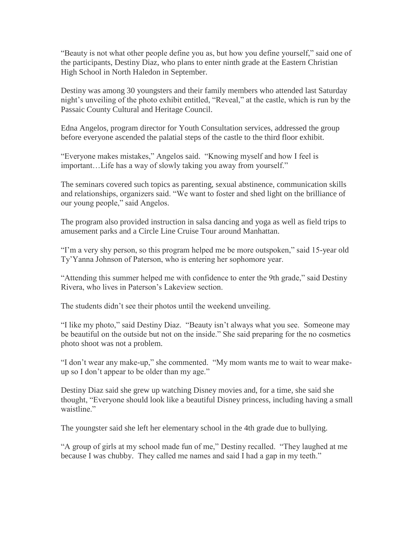"Beauty is not what other people define you as, but how you define yourself," said one of the participants, Destiny Diaz, who plans to enter ninth grade at the Eastern Christian High School in North Haledon in September.

Destiny was among 30 youngsters and their family members who attended last Saturday night's unveiling of the photo exhibit entitled, "Reveal," at the castle, which is run by the Passaic County Cultural and Heritage Council.

Edna Angelos, program director for Youth Consultation services, addressed the group before everyone ascended the palatial steps of the castle to the third floor exhibit.

"Everyone makes mistakes," Angelos said. "Knowing myself and how I feel is important…Life has a way of slowly taking you away from yourself."

The seminars covered such topics as parenting, sexual abstinence, communication skills and relationships, organizers said. "We want to foster and shed light on the brilliance of our young people," said Angelos.

The program also provided instruction in salsa dancing and yoga as well as field trips to amusement parks and a Circle Line Cruise Tour around Manhattan.

"I'm a very shy person, so this program helped me be more outspoken," said 15-year old Ty'Yanna Johnson of Paterson, who is entering her sophomore year.

"Attending this summer helped me with confidence to enter the 9th grade," said Destiny Rivera, who lives in Paterson's Lakeview section.

The students didn't see their photos until the weekend unveiling.

"I like my photo," said Destiny Diaz. "Beauty isn't always what you see. Someone may be beautiful on the outside but not on the inside." She said preparing for the no cosmetics photo shoot was not a problem.

"I don't wear any make-up," she commented. "My mom wants me to wait to wear makeup so I don't appear to be older than my age."

Destiny Diaz said she grew up watching Disney movies and, for a time, she said she thought, "Everyone should look like a beautiful Disney princess, including having a small waistline."

The youngster said she left her elementary school in the 4th grade due to bullying.

"A group of girls at my school made fun of me," Destiny recalled. "They laughed at me because I was chubby. They called me names and said I had a gap in my teeth."